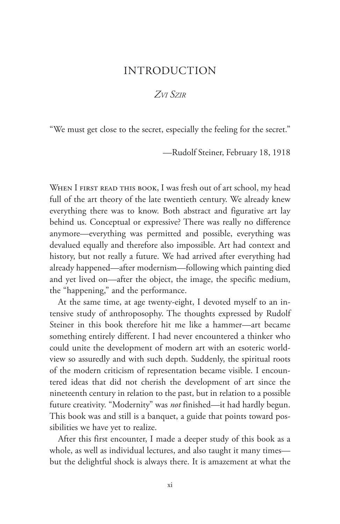## INTRODUCTION

## *Zvi Szir*

"We must get close to the secret, especially the feeling for the secret."

—Rudolf Steiner, February 18, 1918

WHEN I FIRST READ THIS BOOK, I was fresh out of art school, my head full of the art theory of the late twentieth century. We already knew everything there was to know. Both abstract and figurative art lay behind us. Conceptual or expressive? There was really no difference anymore—everything was permitted and possible, everything was devalued equally and therefore also impossible. Art had context and history, but not really a future. We had arrived after everything had already happened—after modernism—following which painting died and yet lived on—after the object, the image, the specific medium, the "happening," and the performance.

At the same time, at age twenty-eight, I devoted myself to an intensive study of anthroposophy. The thoughts expressed by Rudolf Steiner in this book therefore hit me like a hammer—art became something entirely different. I had never encountered a thinker who could unite the development of modern art with an esoteric worldview so assuredly and with such depth. Suddenly, the spiritual roots of the modern criticism of representation became visible. I encountered ideas that did not cherish the development of art since the nineteenth century in relation to the past, but in relation to a possible future creativity. "Modernity" was *not* finished—it had hardly begun. This book was and still is a banquet, a guide that points toward possibilities we have yet to realize.

After this first encounter, I made a deeper study of this book as a whole, as well as individual lectures, and also taught it many times but the delightful shock is always there. It is amazement at what the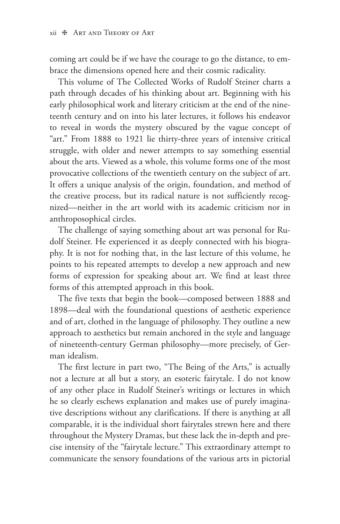coming art could be if we have the courage to go the distance, to embrace the dimensions opened here and their cosmic radicality.

This volume of The Collected Works of Rudolf Steiner charts a path through decades of his thinking about art. Beginning with his early philosophical work and literary criticism at the end of the nineteenth century and on into his later lectures, it follows his endeavor to reveal in words the mystery obscured by the vague concept of "art." From 1888 to 1921 lie thirty-three years of intensive critical struggle, with older and newer attempts to say something essential about the arts. Viewed as a whole, this volume forms one of the most provocative collections of the twentieth century on the subject of art. It offers a unique analysis of the origin, foundation, and method of the creative process, but its radical nature is not sufficiently recognized—neither in the art world with its academic criticism nor in anthroposophical circles.

The challenge of saying something about art was personal for Rudolf Steiner. He experienced it as deeply connected with his biography. It is not for nothing that, in the last lecture of this volume, he points to his repeated attempts to develop a new approach and new forms of expression for speaking about art. We find at least three forms of this attempted approach in this book.

The five texts that begin the book—composed between 1888 and 1898—deal with the foundational questions of aesthetic experience and of art, clothed in the language of philosophy. They outline a new approach to aesthetics but remain anchored in the style and language of nineteenth-century German philosophy—more precisely, of German idealism.

The first lecture in part two, "The Being of the Arts," is actually not a lecture at all but a story, an esoteric fairytale. I do not know of any other place in Rudolf Steiner's writings or lectures in which he so clearly eschews explanation and makes use of purely imaginative descriptions without any clarifications. If there is anything at all comparable, it is the individual short fairytales strewn here and there throughout the Mystery Dramas, but these lack the in-depth and precise intensity of the "fairytale lecture." This extraordinary attempt to communicate the sensory foundations of the various arts in pictorial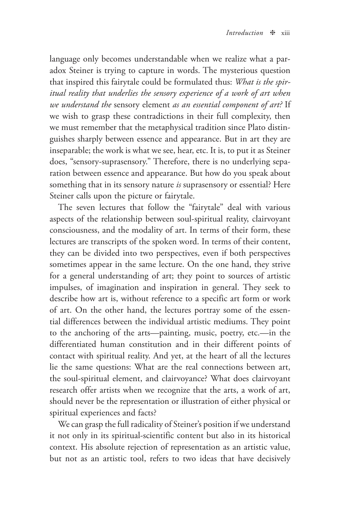language only becomes understandable when we realize what a paradox Steiner is trying to capture in words. The mysterious question that inspired this fairytale could be formulated thus: *What is the spiritual reality that underlies the sensory experience of a work of art when we understand the* sensory element *as an essential component of art?* If we wish to grasp these contradictions in their full complexity, then we must remember that the metaphysical tradition since Plato distinguishes sharply between essence and appearance. But in art they are inseparable; the work is what we see, hear, etc. It is, to put it as Steiner does, "sensory-suprasensory." Therefore, there is no underlying separation between essence and appearance. But how do you speak about something that in its sensory nature *is* suprasensory or essential? Here Steiner calls upon the picture or fairytale.

The seven lectures that follow the "fairytale" deal with various aspects of the relationship between soul-spiritual reality, clairvoyant consciousness, and the modality of art. In terms of their form, these lectures are transcripts of the spoken word. In terms of their content, they can be divided into two perspectives, even if both perspectives sometimes appear in the same lecture. On the one hand, they strive for a general understanding of art; they point to sources of artistic impulses, of imagination and inspiration in general. They seek to describe how art is, without reference to a specific art form or work of art. On the other hand, the lectures portray some of the essential differences between the individual artistic mediums. They point to the anchoring of the arts—painting, music, poetry, etc.—in the differentiated human constitution and in their different points of contact with spiritual reality. And yet, at the heart of all the lectures lie the same questions: What are the real connections between art, the soul-spiritual element, and clairvoyance? What does clairvoyant research offer artists when we recognize that the arts, a work of art, should never be the representation or illustration of either physical or spiritual experiences and facts?

We can grasp the full radicality of Steiner's position if we understand it not only in its spiritual-scientific content but also in its historical context. His absolute rejection of representation as an artistic value, but not as an artistic tool, refers to two ideas that have decisively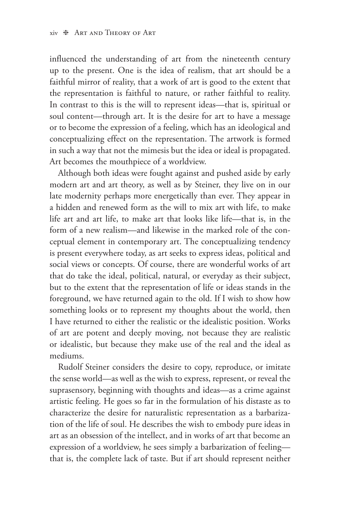influenced the understanding of art from the nineteenth century up to the present. One is the idea of realism, that art should be a faithful mirror of reality, that a work of art is good to the extent that the representation is faithful to nature, or rather faithful to reality. In contrast to this is the will to represent ideas—that is, spiritual or soul content—through art. It is the desire for art to have a message or to become the expression of a feeling, which has an ideological and conceptualizing effect on the representation. The artwork is formed in such a way that not the mimesis but the idea or ideal is propagated. Art becomes the mouthpiece of a worldview.

Although both ideas were fought against and pushed aside by early modern art and art theory, as well as by Steiner, they live on in our late modernity perhaps more energetically than ever. They appear in a hidden and renewed form as the will to mix art with life, to make life art and art life, to make art that looks like life—that is, in the form of a new realism—and likewise in the marked role of the conceptual element in contemporary art. The conceptualizing tendency is present everywhere today, as art seeks to express ideas, political and social views or concepts. Of course, there are wonderful works of art that do take the ideal, political, natural, or everyday as their subject, but to the extent that the representation of life or ideas stands in the foreground, we have returned again to the old. If I wish to show how something looks or to represent my thoughts about the world, then I have returned to either the realistic or the idealistic position. Works of art are potent and deeply moving, not because they are realistic or idealistic, but because they make use of the real and the ideal as mediums.

Rudolf Steiner considers the desire to copy, reproduce, or imitate the sense world—as well as the wish to express, represent, or reveal the suprasensory, beginning with thoughts and ideas—as a crime against artistic feeling. He goes so far in the formulation of his distaste as to characterize the desire for naturalistic representation as a barbarization of the life of soul. He describes the wish to embody pure ideas in art as an obsession of the intellect, and in works of art that become an expression of a worldview, he sees simply a barbarization of feeling that is, the complete lack of taste. But if art should represent neither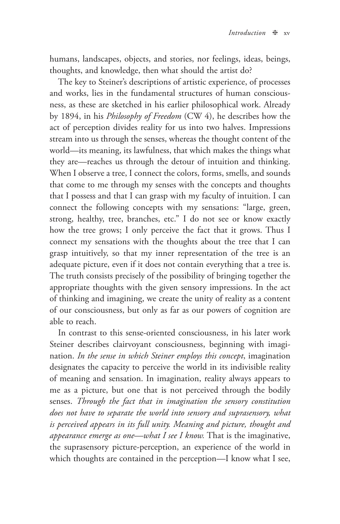humans, landscapes, objects, and stories, nor feelings, ideas, beings, thoughts, and knowledge, then what should the artist do?

The key to Steiner's descriptions of artistic experience, of processes and works, lies in the fundamental structures of human consciousness, as these are sketched in his earlier philosophical work. Already by 1894, in his *Philosophy of Freedom* (CW 4), he describes how the act of perception divides reality for us into two halves. Impressions stream into us through the senses, whereas the thought content of the world—its meaning, its lawfulness, that which makes the things what they are—reaches us through the detour of intuition and thinking. When I observe a tree, I connect the colors, forms, smells, and sounds that come to me through my senses with the concepts and thoughts that I possess and that I can grasp with my faculty of intuition. I can connect the following concepts with my sensations: "large, green, strong, healthy, tree, branches, etc." I do not see or know exactly how the tree grows; I only perceive the fact that it grows. Thus I connect my sensations with the thoughts about the tree that I can grasp intuitively, so that my inner representation of the tree is an adequate picture, even if it does not contain everything that a tree is. The truth consists precisely of the possibility of bringing together the appropriate thoughts with the given sensory impressions. In the act of thinking and imagining, we create the unity of reality as a content of our consciousness, but only as far as our powers of cognition are able to reach.

In contrast to this sense-oriented consciousness, in his later work Steiner describes clairvoyant consciousness, beginning with imagination. *In the sense in which Steiner employs this concept*, imagination designates the capacity to perceive the world in its indivisible reality of meaning and sensation. In imagination, reality always appears to me as a picture, but one that is not perceived through the bodily senses. *Through the fact that in imagination the sensory constitution does not have to separate the world into sensory and suprasensory, what is perceived appears in its full unity. Meaning and picture, thought and appearance emerge as one—what I see I know.* That is the imaginative, the suprasensory picture-perception, an experience of the world in which thoughts are contained in the perception—I know what I see,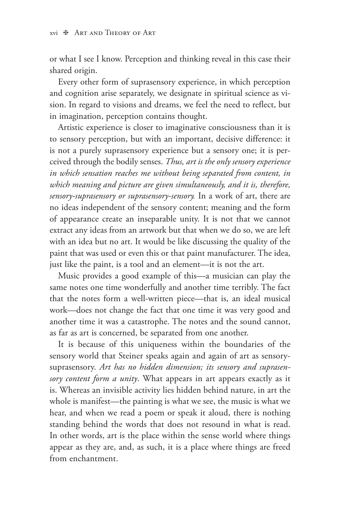or what I see I know. Perception and thinking reveal in this case their shared origin.

Every other form of suprasensory experience, in which perception and cognition arise separately, we designate in spiritual science as vision. In regard to visions and dreams, we feel the need to reflect, but in imagination, perception contains thought.

Artistic experience is closer to imaginative consciousness than it is to sensory perception, but with an important, decisive difference: it is not a purely suprasensory experience but a sensory one; it is perceived through the bodily senses. *Thus, art is the only sensory experience in which sensation reaches me without being separated from content, in which meaning and picture are given simultaneously, and it is, therefore, sensory-suprasensory or suprasensory-sensory.* In a work of art, there are no ideas independent of the sensory content; meaning and the form of appearance create an inseparable unity. It is not that we cannot extract any ideas from an artwork but that when we do so, we are left with an idea but no art. It would be like discussing the quality of the paint that was used or even this or that paint manufacturer. The idea, just like the paint, is a tool and an element—it is not the art.

Music provides a good example of this—a musician can play the same notes one time wonderfully and another time terribly. The fact that the notes form a well-written piece—that is, an ideal musical work—does not change the fact that one time it was very good and another time it was a catastrophe. The notes and the sound cannot, as far as art is concerned, be separated from one another.

It is because of this uniqueness within the boundaries of the sensory world that Steiner speaks again and again of art as sensorysuprasensory. *Art has no hidden dimension; its sensory and suprasensory content form a unity*. What appears in art appears exactly as it is. Whereas an invisible activity lies hidden behind nature, in art the whole is manifest—the painting is what we see, the music is what we hear, and when we read a poem or speak it aloud, there is nothing standing behind the words that does not resound in what is read. In other words, art is the place within the sense world where things appear as they are, and, as such, it is a place where things are freed from enchantment.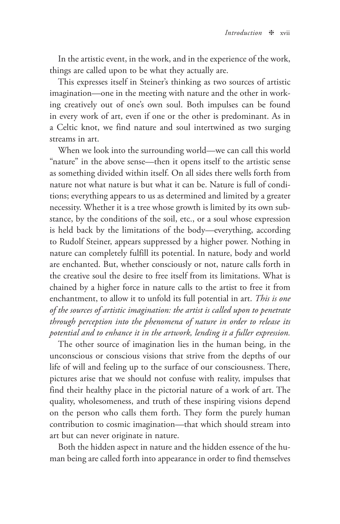In the artistic event, in the work, and in the experience of the work, things are called upon to be what they actually are.

This expresses itself in Steiner's thinking as two sources of artistic imagination—one in the meeting with nature and the other in working creatively out of one's own soul. Both impulses can be found in every work of art, even if one or the other is predominant. As in a Celtic knot, we find nature and soul intertwined as two surging streams in art.

When we look into the surrounding world—we can call this world "nature" in the above sense—then it opens itself to the artistic sense as something divided within itself. On all sides there wells forth from nature not what nature is but what it can be. Nature is full of conditions; everything appears to us as determined and limited by a greater necessity. Whether it is a tree whose growth is limited by its own substance, by the conditions of the soil, etc., or a soul whose expression is held back by the limitations of the body—everything, according to Rudolf Steiner, appears suppressed by a higher power. Nothing in nature can completely fulfill its potential. In nature, body and world are enchanted. But, whether consciously or not, nature calls forth in the creative soul the desire to free itself from its limitations. What is chained by a higher force in nature calls to the artist to free it from enchantment, to allow it to unfold its full potential in art. *This is one of the sources of artistic imagination: the artist is called upon to penetrate through perception into the phenomena of nature in order to release its potential and to enhance it in the artwork, lending it a fuller expression.*

The other source of imagination lies in the human being, in the unconscious or conscious visions that strive from the depths of our life of will and feeling up to the surface of our consciousness. There, pictures arise that we should not confuse with reality, impulses that find their healthy place in the pictorial nature of a work of art. The quality, wholesomeness, and truth of these inspiring visions depend on the person who calls them forth. They form the purely human contribution to cosmic imagination—that which should stream into art but can never originate in nature.

Both the hidden aspect in nature and the hidden essence of the human being are called forth into appearance in order to find themselves